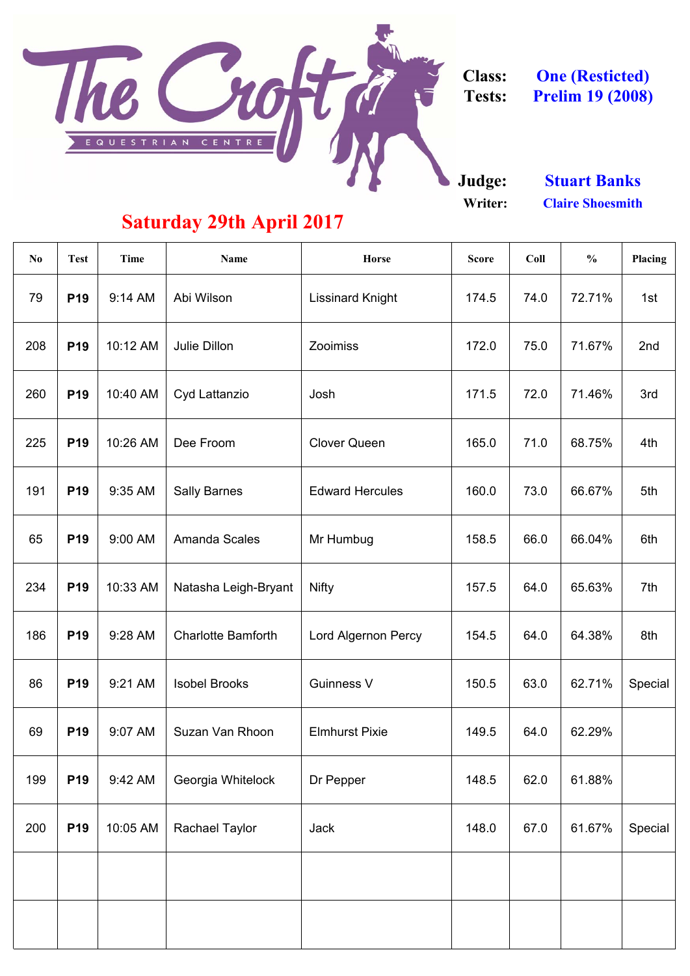

**Class: Tests:**

**Judge: Writer:**

| N <sub>0</sub> | <b>Test</b> | <b>Time</b> | <b>Name</b>               | <b>Horse</b>               | <b>Score</b> | Coll | $\frac{0}{0}$ | Placing |
|----------------|-------------|-------------|---------------------------|----------------------------|--------------|------|---------------|---------|
| 79             | <b>P19</b>  | 9:14 AM     | Abi Wilson                | <b>Lissinard Knight</b>    | 174.5        | 74.0 | 72.71%        | 1st     |
| 208            | <b>P19</b>  | 10:12 AM    | <b>Julie Dillon</b>       | Zooimiss                   | 172.0        | 75.0 | 71.67%        | 2nd     |
| 260            | <b>P19</b>  | 10:40 AM    | Cyd Lattanzio             | Josh                       | 171.5        | 72.0 | 71.46%        | 3rd     |
| 225            | <b>P19</b>  | 10:26 AM    | Dee Froom                 | <b>Clover Queen</b>        | 165.0        | 71.0 | 68.75%        | 4th     |
| 191            | <b>P19</b>  | 9:35 AM     | <b>Sally Barnes</b>       | <b>Edward Hercules</b>     | 160.0        | 73.0 | 66.67%        | 5th     |
| 65             | <b>P19</b>  | 9:00 AM     | <b>Amanda Scales</b>      | Mr Humbug                  | 158.5        | 66.0 | 66.04%        | 6th     |
| 234            | <b>P19</b>  | 10:33 AM    | Natasha Leigh-Bryant      | <b>Nifty</b>               | 157.5        | 64.0 | 65.63%        | 7th     |
| 186            | <b>P19</b>  | 9:28 AM     | <b>Charlotte Bamforth</b> | <b>Lord Algernon Percy</b> | 154.5        | 64.0 | 64.38%        | 8th     |
| 86             | <b>P19</b>  | 9:21 AM     | <b>Isobel Brooks</b>      | <b>Guinness V</b>          | 150.5        | 63.0 | 62.71%        | Special |
| 69             | <b>P19</b>  | 9:07 AM     | Suzan Van Rhoon           | <b>Elmhurst Pixie</b>      | 149.5        | 64.0 | 62.29%        |         |
| 199            | <b>P19</b>  | 9:42 AM     | Georgia Whitelock         | Dr Pepper                  | 148.5        | 62.0 | 61.88%        |         |
| 200            | <b>P19</b>  | 10:05 AM    | <b>Rachael Taylor</b>     | <b>Jack</b>                | 148.0        | 67.0 | 61.67%        | Special |
|                |             |             |                           |                            |              |      |               |         |
|                |             |             |                           |                            |              |      |               |         |

**One (Resticted) Prelim 19 (2008)**

> **Stuart Banks Claire Shoesmith**

# **Saturday 29th April 2017**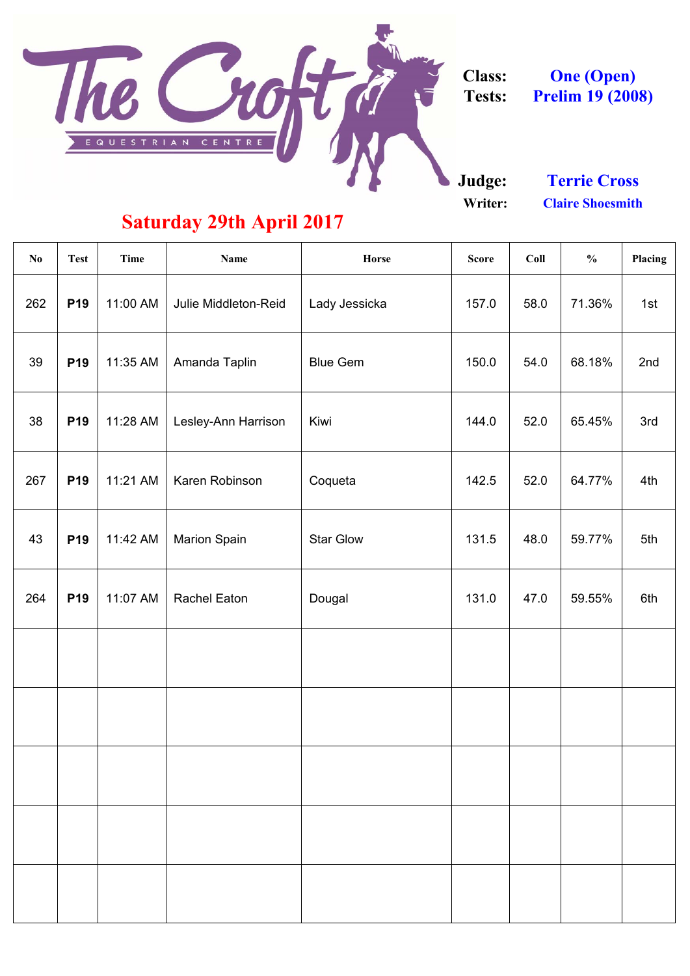

**Class: Tests:**

**Judge:**

**Writer:**

| N <sub>0</sub> | <b>Test</b> | Time     | <b>Name</b>                 | Horse            | <b>Score</b> | Coll | $\frac{0}{0}$ | Placing |
|----------------|-------------|----------|-----------------------------|------------------|--------------|------|---------------|---------|
| 262            | <b>P19</b>  | 11:00 AM | <b>Julie Middleton-Reid</b> | Lady Jessicka    | 157.0        | 58.0 | 71.36%        | 1st     |
| 39             | <b>P19</b>  | 11:35 AM | Amanda Taplin               | <b>Blue Gem</b>  | 150.0        | 54.0 | 68.18%        | 2nd     |
| 38             | <b>P19</b>  | 11:28 AM | Lesley-Ann Harrison         | Kiwi             | 144.0        | 52.0 | 65.45%        | 3rd     |
| 267            | <b>P19</b>  | 11:21 AM | Karen Robinson              | Coqueta          | 142.5        | 52.0 | 64.77%        | 4th     |
| 43             | <b>P19</b>  | 11:42 AM | <b>Marion Spain</b>         | <b>Star Glow</b> | 131.5        | 48.0 | 59.77%        | 5th     |
| 264            | <b>P19</b>  | 11:07 AM | <b>Rachel Eaton</b>         | Dougal           | 131.0        | 47.0 | 59.55%        | 6th     |
|                |             |          |                             |                  |              |      |               |         |
|                |             |          |                             |                  |              |      |               |         |

**One (Open) Prelim 19 (2008)**

# **Saturday 29th April 2017**

**Claire Shoesmith Terrie Cross**

 $\mathbf{I}$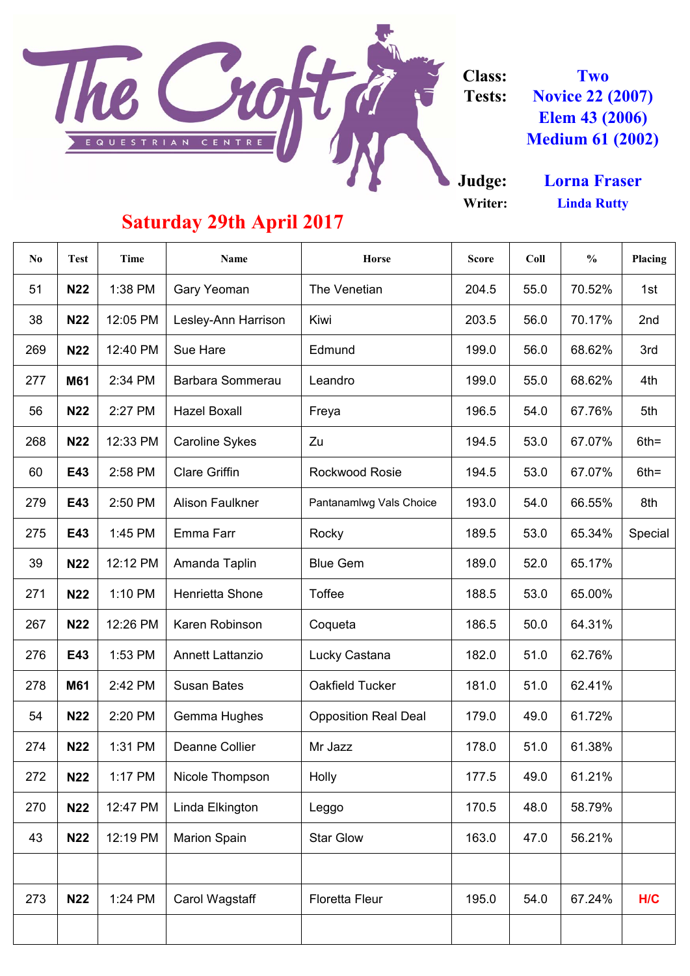

#### **Class: Tests:**

**Judge: Writer:**

| N <sub>0</sub> | <b>Test</b> | <b>Time</b> | <b>Name</b>             | <b>Horse</b>                | <b>Score</b> | Coll | $\frac{0}{0}$ | <b>Placing</b> |
|----------------|-------------|-------------|-------------------------|-----------------------------|--------------|------|---------------|----------------|
| 51             | <b>N22</b>  | 1:38 PM     | <b>Gary Yeoman</b>      | The Venetian                | 204.5        | 55.0 | 70.52%        | 1st            |
| 38             | <b>N22</b>  | 12:05 PM    | Lesley-Ann Harrison     | Kiwi                        | 203.5        | 56.0 | 70.17%        | 2nd            |
| 269            | <b>N22</b>  | 12:40 PM    | Sue Hare                | Edmund                      | 199.0        | 56.0 | 68.62%        | 3rd            |
| 277            | <b>M61</b>  | 2:34 PM     | Barbara Sommerau        | Leandro                     | 199.0        | 55.0 | 68.62%        | 4th            |
| 56             | <b>N22</b>  | 2:27 PM     | <b>Hazel Boxall</b>     | Freya                       | 196.5        | 54.0 | 67.76%        | 5th            |
| 268            | <b>N22</b>  | 12:33 PM    | <b>Caroline Sykes</b>   | Zu                          | 194.5        | 53.0 | 67.07%        | $6th =$        |
| 60             | E43         | 2:58 PM     | <b>Clare Griffin</b>    | <b>Rockwood Rosie</b>       | 194.5        | 53.0 | 67.07%        | $6th =$        |
| 279            | E43         | 2:50 PM     | <b>Alison Faulkner</b>  | Pantanamlwg Vals Choice     | 193.0        | 54.0 | 66.55%        | 8th            |
| 275            | E43         | $1:45$ PM   | Emma Farr               | Rocky                       | 189.5        | 53.0 | 65.34%        | <b>Special</b> |
| 39             | <b>N22</b>  | 12:12 PM    | Amanda Taplin           | <b>Blue Gem</b>             | 189.0        | 52.0 | 65.17%        |                |
| 271            | <b>N22</b>  | 1:10 PM     | <b>Henrietta Shone</b>  | <b>Toffee</b>               | 188.5        | 53.0 | 65.00%        |                |
| 267            | <b>N22</b>  | 12:26 PM    | Karen Robinson          | Coqueta                     | 186.5        | 50.0 | 64.31%        |                |
| 276            | E43         | 1:53 PM     | <b>Annett Lattanzio</b> | Lucky Castana               | 182.0        | 51.0 | 62.76%        |                |
| 278            | <b>M61</b>  | 2:42 PM     | <b>Susan Bates</b>      | <b>Oakfield Tucker</b>      | 181.0        | 51.0 | 62.41%        |                |
| 54             | <b>N22</b>  | 2:20 PM     | <b>Gemma Hughes</b>     | <b>Opposition Real Deal</b> | 179.0        | 49.0 | 61.72%        |                |
| 274            | <b>N22</b>  | 1:31 PM     | <b>Deanne Collier</b>   | Mr Jazz                     | 178.0        | 51.0 | 61.38%        |                |
| 272            | <b>N22</b>  | 1:17 PM     | Nicole Thompson         | <b>Holly</b>                | 177.5        | 49.0 | 61.21%        |                |
| 270            | <b>N22</b>  | 12:47 PM    | Linda Elkington         | Leggo                       | 170.5        | 48.0 | 58.79%        |                |
| 43             | <b>N22</b>  | 12:19 PM    | <b>Marion Spain</b>     | <b>Star Glow</b>            | 163.0        | 47.0 | 56.21%        |                |
|                |             |             |                         |                             |              |      |               |                |
| 273            | <b>N22</b>  | 1:24 PM     | Carol Wagstaff          | <b>Floretta Fleur</b>       | 195.0        | 54.0 | 67.24%        | H/C            |
|                |             |             |                         |                             |              |      |               |                |

**Lorna Fraser Linda Rutty**

### **Saturday 29th April 2017**

**Two Novice 22 (2007) Elem 43 (2006) Medium 61 (2002)**